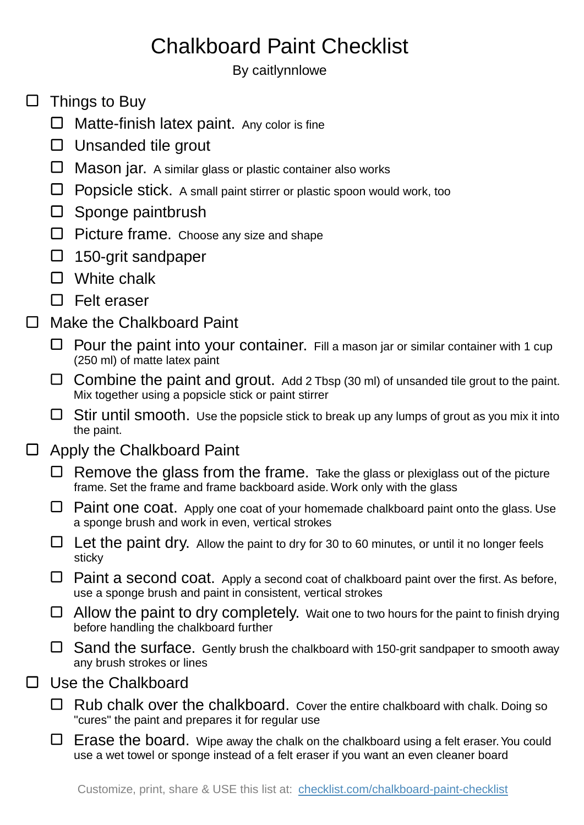## Chalkboard Paint Checklist

By caitlynnlowe

- $\square$  Things to Buy
	- □ Matte-finish latex paint. Any color is fine
	- $\square$  Unsanded tile grout
	- $\Box$  Mason jar. A similar glass or plastic container also works
	- $\Box$  Popsicle stick. A small paint stirrer or plastic spoon would work, too
	- $\square$  Sponge paintbrush
	- $\Box$  Picture frame. Choose any size and shape
	- $\Box$  150-grit sandpaper
	- □ White chalk
	- □ Felt eraser
- Make the Chalkboard Paint  $\Box$ 
	- $\Box$  Pour the paint into your container. Fill a mason jar or similar container with 1 cup (250 ml) of matte latex paint
	- $\Box$  Combine the paint and grout. Add 2 Tbsp (30 ml) of unsanded tile grout to the paint. Mix together using a popsicle stick or paint stirrer
	- $\Box$  Stir until smooth. Use the popsicle stick to break up any lumps of grout as you mix it into the paint.
- $\Box$ Apply the Chalkboard Paint
	- $\Box$  Remove the glass from the frame. Take the glass or plexiglass out of the picture frame. Set the frame and frame backboard aside. Work only with the glass
	- $\Box$  Paint one coat. Apply one coat of your homemade chalkboard paint onto the glass. Use a sponge brush and work in even, vertical strokes
	- $\Box$  Let the paint dry. Allow the paint to dry for 30 to 60 minutes, or until it no longer feels sticky
	- $\Box$  Paint a second coat. Apply a second coat of chalkboard paint over the first. As before, use a sponge brush and paint in consistent, vertical strokes
	- $\Box$  Allow the paint to dry completely. Wait one to two hours for the paint to finish drying before handling the chalkboard further
	- $\Box$  Sand the surface. Gently brush the chalkboard with 150-grit sandpaper to smooth away any brush strokes or lines
- $\Box$ Use the Chalkboard
	- $\Box$  Rub chalk over the chalkboard. Cover the entire chalkboard with chalk. Doing so "cures" the paint and prepares it for regular use
	- $\Box$  Erase the board. Wipe away the chalk on the chalkboard using a felt eraser. You could use a wet towel or sponge instead of a felt eraser if you want an even cleaner board